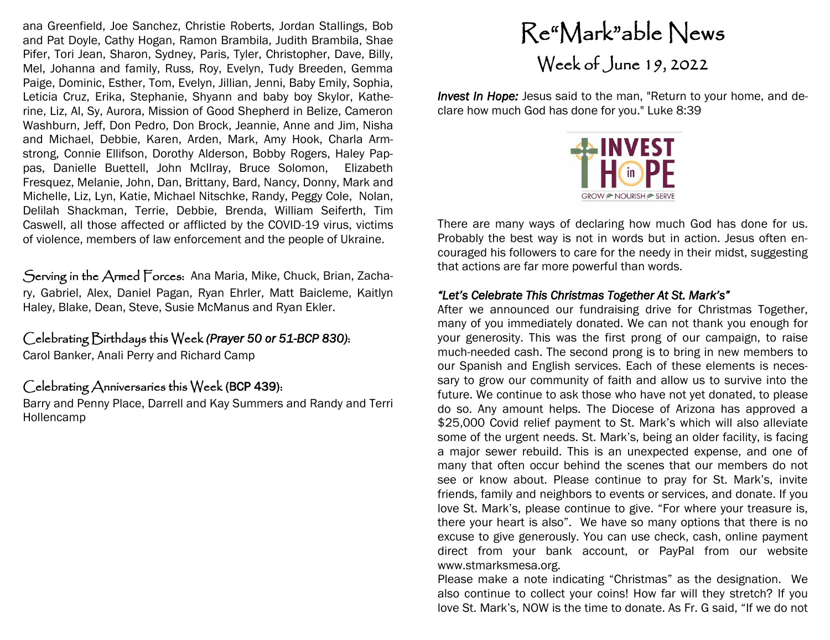ana Greenfield, Joe Sanchez, Christie Roberts, Jordan Stallings, Bob and Pat Doyle, Cathy Hogan, Ramon Brambila, Judith Brambila, Shae Pifer, Tori Jean, Sharon, Sydney, Paris, Tyler, Christopher, Dave, Billy, Mel, Johanna and family, Russ, Roy, Evelyn, Tudy Breeden, Gemma Paige, Dominic, Esther, Tom, Evelyn, Jillian, Jenni, Baby Emily, Sophia, Leticia Cruz, Erika, Stephanie, Shyann and baby boy Skylor, Katherine, Liz, Al, Sy, Aurora, Mission of Good Shepherd in Belize, Cameron Washburn, Jeff, Don Pedro, Don Brock, Jeannie, Anne and Jim, Nisha and Michael, Debbie, Karen, Arden, Mark, Amy Hook, Charla Armstrong, Connie Ellifson, Dorothy Alderson, Bobby Rogers, Haley Pappas, Danielle Buettell, John McIlray, Bruce Solomon, Elizabeth Fresquez, Melanie, John, Dan, Brittany, Bard, Nancy, Donny, Mark and Michelle, Liz, Lyn, Katie, Michael Nitschke, Randy, Peggy Cole, Nolan, Delilah Shackman, Terrie, Debbie, Brenda, William Seiferth, Tim Caswell, all those affected or afflicted by the COVID-19 virus, victims of violence, members of law enforcement and the people of Ukraine.

Serving in the Armed Forces: Ana Maria, Mike, Chuck, Brian, Zachary, Gabriel, Alex, Daniel Pagan, Ryan Ehrler, Matt Baicleme, Kaitlyn Haley, Blake, Dean, Steve, Susie McManus and Ryan Ekler.

### Celebrating Birthdays this Week *(Prayer 50 or 51-BCP 830)*:

Carol Banker, Anali Perry and Richard Camp

#### Celebrating Anniversaries this Week (BCP 439):

Barry and Penny Place, Darrell and Kay Summers and Randy and Terri Hollencamp

## Re"Mark"able News Week of June 19, 2022

*Invest In Hope: Jesus said to the man, "Return to your home, and de*clare how much God has done for you." Luke 8:39



There are many ways of declaring how much God has done for us. Probably the best way is not in words but in action. Jesus often encouraged his followers to care for the needy in their midst, suggesting that actions are far more powerful than words.

#### *"Let's Celebrate This Christmas Together At St. Mark's"*

After we announced our fundraising drive for Christmas Together, many of you immediately donated. We can not thank you enough for your generosity. This was the first prong of our campaign, to raise much-needed cash. The second prong is to bring in new members to our Spanish and English services. Each of these elements is necessary to grow our community of faith and allow us to survive into the future. We continue to ask those who have not yet donated, to please do so. Any amount helps. The Diocese of Arizona has approved a \$25,000 Covid relief payment to St. Mark's which will also alleviate some of the urgent needs. St. Mark's, being an older facility, is facing a major sewer rebuild. This is an unexpected expense, and one of many that often occur behind the scenes that our members do not see or know about. Please continue to pray for St. Mark's, invite friends, family and neighbors to events or services, and donate. If you love St. Mark's, please continue to give. "For where your treasure is, there your heart is also". We have so many options that there is no excuse to give generously. You can use check, cash, online payment direct from your bank account, or PayPal from our website www.stmarksmesa.org.

Please make a note indicating "Christmas" as the designation. We also continue to collect your coins! How far will they stretch? If you love St. Mark's, NOW is the time to donate. As Fr. G said, "If we do not